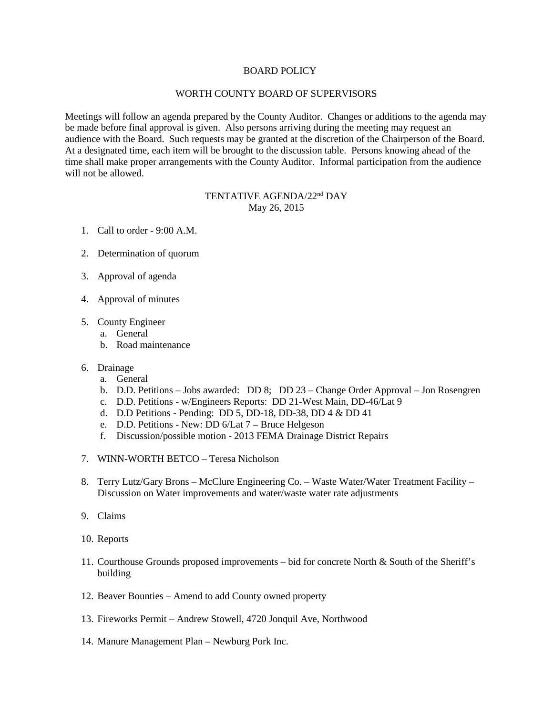## BOARD POLICY

## WORTH COUNTY BOARD OF SUPERVISORS

Meetings will follow an agenda prepared by the County Auditor. Changes or additions to the agenda may be made before final approval is given. Also persons arriving during the meeting may request an audience with the Board. Such requests may be granted at the discretion of the Chairperson of the Board. At a designated time, each item will be brought to the discussion table. Persons knowing ahead of the time shall make proper arrangements with the County Auditor. Informal participation from the audience will not be allowed.

## TENTATIVE AGENDA/22nd DAY May 26, 2015

- 1. Call to order 9:00 A.M.
- 2. Determination of quorum
- 3. Approval of agenda
- 4. Approval of minutes
- 5. County Engineer
	- a. General
	- b. Road maintenance
- 6. Drainage
	- a. General
	- b. D.D. Petitions Jobs awarded: DD 8; DD 23 Change Order Approval Jon Rosengren
	- c. D.D. Petitions w/Engineers Reports: DD 21-West Main, DD-46/Lat 9
	- d. D.D Petitions Pending: DD 5, DD-18, DD-38, DD 4 & DD 41
	- e. D.D. Petitions New: DD 6/Lat 7 Bruce Helgeson
	- f. Discussion/possible motion 2013 FEMA Drainage District Repairs
- 7. WINN-WORTH BETCO Teresa Nicholson
- 8. Terry Lutz/Gary Brons McClure Engineering Co. Waste Water/Water Treatment Facility Discussion on Water improvements and water/waste water rate adjustments
- 9. Claims
- 10. Reports
- 11. Courthouse Grounds proposed improvements bid for concrete North & South of the Sheriff's building
- 12. Beaver Bounties Amend to add County owned property
- 13. Fireworks Permit Andrew Stowell, 4720 Jonquil Ave, Northwood
- 14. Manure Management Plan Newburg Pork Inc.